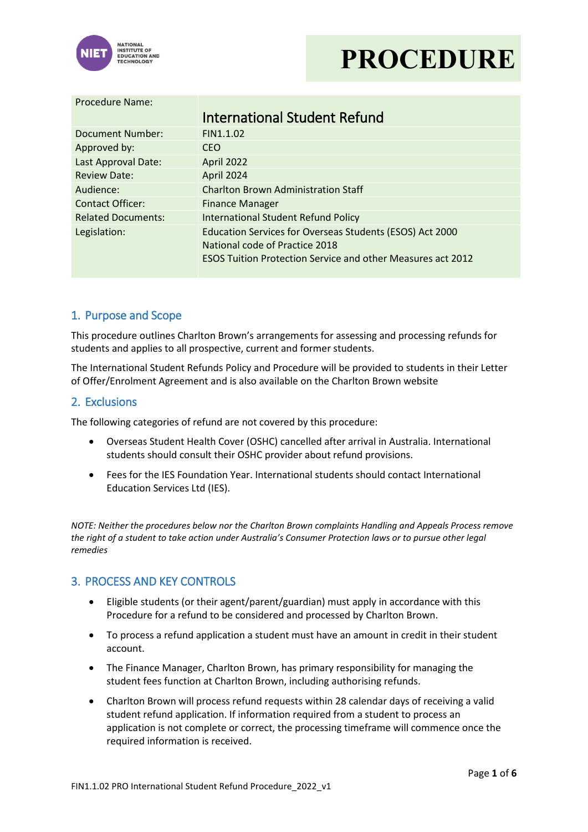



#### Procedure Name:

|                           | <b>International Student Refund</b>                                |  |  |  |
|---------------------------|--------------------------------------------------------------------|--|--|--|
| Document Number:          | FIN1.1.02                                                          |  |  |  |
| Approved by:              | <b>CEO</b>                                                         |  |  |  |
| Last Approval Date:       | April 2022                                                         |  |  |  |
| <b>Review Date:</b>       | April 2024                                                         |  |  |  |
| Audience:                 | <b>Charlton Brown Administration Staff</b>                         |  |  |  |
| <b>Contact Officer:</b>   | <b>Finance Manager</b>                                             |  |  |  |
| <b>Related Documents:</b> | <b>International Student Refund Policy</b>                         |  |  |  |
| Legislation:              | Education Services for Overseas Students (ESOS) Act 2000           |  |  |  |
|                           | National code of Practice 2018                                     |  |  |  |
|                           | <b>ESOS Tuition Protection Service and other Measures act 2012</b> |  |  |  |

### 1. Purpose and Scope

This procedure outlines Charlton Brown's arrangements for assessing and processing refunds for students and applies to all prospective, current and former students.

The International Student Refunds Policy and Procedure will be provided to students in their Letter of Offer/Enrolment Agreement and is also available on the Charlton Brown website

#### 2. Exclusions

The following categories of refund are not covered by this procedure:

- Overseas Student Health Cover (OSHC) cancelled after arrival in Australia. International students should consult their OSHC provider about refund provisions.
- Fees for the IES Foundation Year. International students should contact International Education Services Ltd (IES).

*NOTE: Neither the procedures below nor the Charlton Brown complaints Handling and Appeals Process remove the right of a student to take action under Australia's Consumer Protection laws or to pursue other legal remedies*

### 3. PROCESS AND KEY CONTROLS

- Eligible students (or their agent/parent/guardian) must apply in accordance with this Procedure for a refund to be considered and processed by Charlton Brown.
- To process a refund application a student must have an amount in credit in their student account.
- The Finance Manager, Charlton Brown, has primary responsibility for managing the student fees function at Charlton Brown, including authorising refunds.
- Charlton Brown will process refund requests within 28 calendar days of receiving a valid student refund application. If information required from a student to process an application is not complete or correct, the processing timeframe will commence once the required information is received.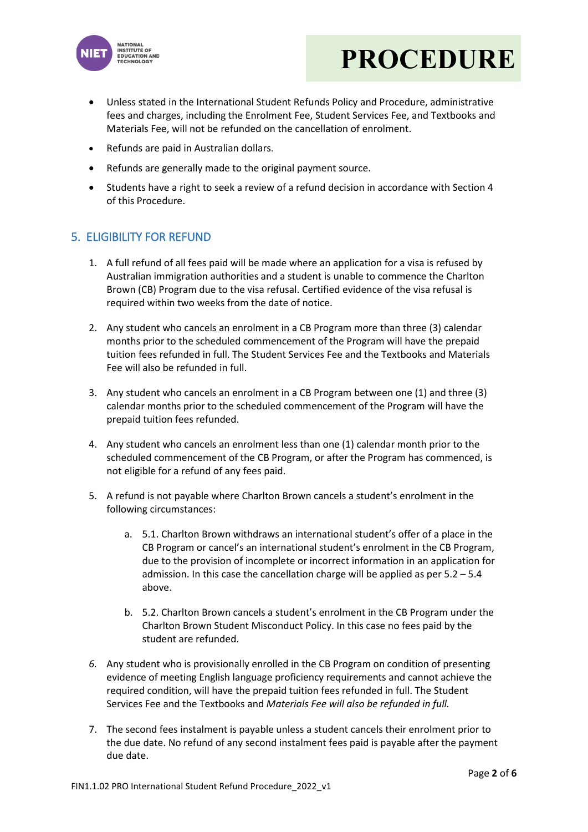



- Unless stated in the International Student Refunds Policy and Procedure, administrative fees and charges, including the Enrolment Fee, Student Services Fee, and Textbooks and Materials Fee, will not be refunded on the cancellation of enrolment.
- Refunds are paid in Australian dollars.
- Refunds are generally made to the original payment source.
- Students have a right to seek a review of a refund decision in accordance with Section 4 of this Procedure.

## 5. ELIGIBILITY FOR REFUND

- 1. A full refund of all fees paid will be made where an application for a visa is refused by Australian immigration authorities and a student is unable to commence the Charlton Brown (CB) Program due to the visa refusal. Certified evidence of the visa refusal is required within two weeks from the date of notice.
- 2. Any student who cancels an enrolment in a CB Program more than three (3) calendar months prior to the scheduled commencement of the Program will have the prepaid tuition fees refunded in full. The Student Services Fee and the Textbooks and Materials Fee will also be refunded in full.
- 3. Any student who cancels an enrolment in a CB Program between one (1) and three (3) calendar months prior to the scheduled commencement of the Program will have the prepaid tuition fees refunded.
- 4. Any student who cancels an enrolment less than one (1) calendar month prior to the scheduled commencement of the CB Program, or after the Program has commenced, is not eligible for a refund of any fees paid.
- 5. A refund is not payable where Charlton Brown cancels a student's enrolment in the following circumstances:
	- a. 5.1. Charlton Brown withdraws an international student's offer of a place in the CB Program or cancel's an international student's enrolment in the CB Program, due to the provision of incomplete or incorrect information in an application for admission. In this case the cancellation charge will be applied as per 5.2 – 5.4 above.
	- b. 5.2. Charlton Brown cancels a student's enrolment in the CB Program under the Charlton Brown Student Misconduct Policy. In this case no fees paid by the student are refunded.
- *6.* Any student who is provisionally enrolled in the CB Program on condition of presenting evidence of meeting English language proficiency requirements and cannot achieve the required condition, will have the prepaid tuition fees refunded in full. The Student Services Fee and the Textbooks and *Materials Fee will also be refunded in full.*
- 7. The second fees instalment is payable unless a student cancels their enrolment prior to the due date. No refund of any second instalment fees paid is payable after the payment due date.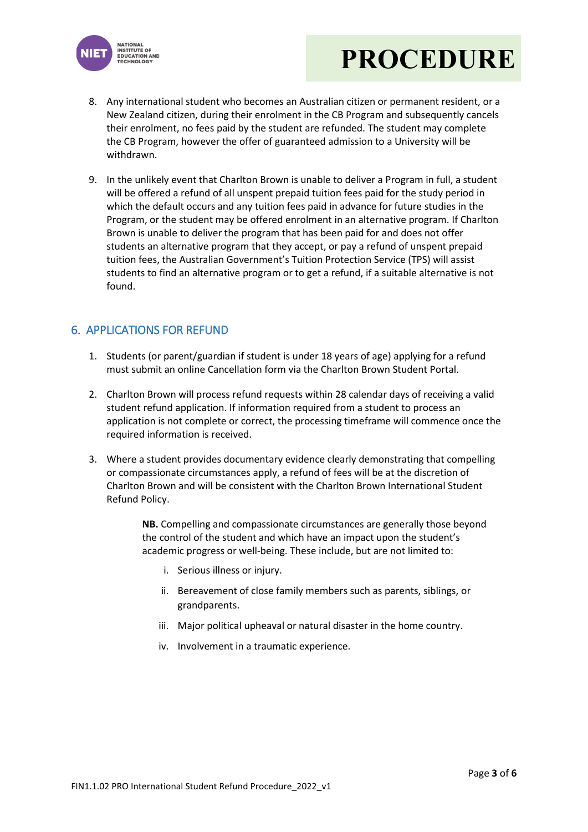

# **PROCEDURE**

- 8. Any international student who becomes an Australian citizen or permanent resident, or a New Zealand citizen, during their enrolment in the CB Program and subsequently cancels their enrolment, no fees paid by the student are refunded. The student may complete the CB Program, however the offer of guaranteed admission to a University will be withdrawn.
- 9. In the unlikely event that Charlton Brown is unable to deliver a Program in full, a student will be offered a refund of all unspent prepaid tuition fees paid for the study period in which the default occurs and any tuition fees paid in advance for future studies in the Program, or the student may be offered enrolment in an alternative program. If Charlton Brown is unable to deliver the program that has been paid for and does not offer students an alternative program that they accept, or pay a refund of unspent prepaid tuition fees, the Australian Government's Tuition Protection Service (TPS) will assist students to find an alternative program or to get a refund, if a suitable alternative is not found.

## 6. APPLICATIONS FOR REFUND

- 1. Students (or parent/guardian if student is under 18 years of age) applying for a refund must submit an online Cancellation form via the Charlton Brown Student Portal.
- 2. Charlton Brown will process refund requests within 28 calendar days of receiving a valid student refund application. If information required from a student to process an application is not complete or correct, the processing timeframe will commence once the required information is received.
- 3. Where a student provides documentary evidence clearly demonstrating that compelling or compassionate circumstances apply, a refund of fees will be at the discretion of Charlton Brown and will be consistent with the Charlton Brown International Student Refund Policy.

**NB.** Compelling and compassionate circumstances are generally those beyond the control of the student and which have an impact upon the student's academic progress or well-being. These include, but are not limited to:

- i. Serious illness or injury.
- ii. Bereavement of close family members such as parents, siblings, or grandparents.
- iii. Major political upheaval or natural disaster in the home country.
- iv. Involvement in a traumatic experience.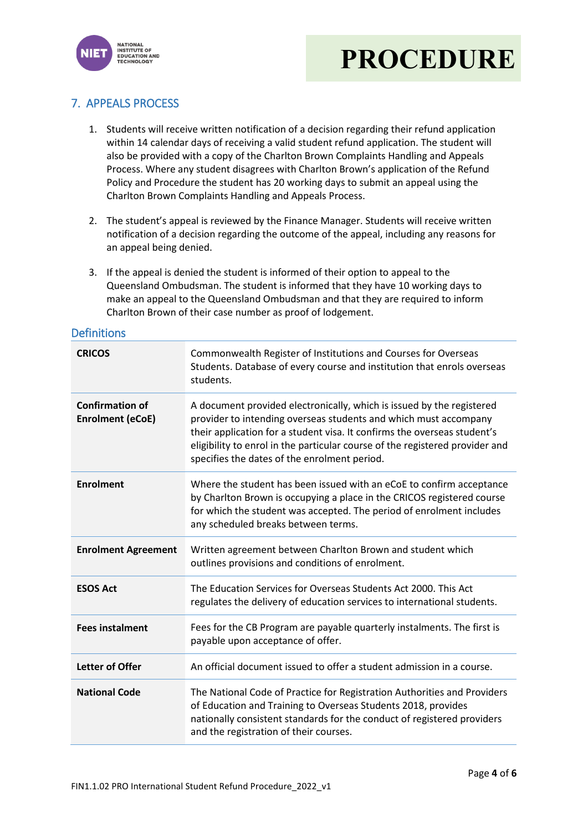



# 7. APPEALS PROCESS

- 1. Students will receive written notification of a decision regarding their refund application within 14 calendar days of receiving a valid student refund application. The student will also be provided with a copy of the Charlton Brown Complaints Handling and Appeals Process. Where any student disagrees with Charlton Brown's application of the Refund Policy and Procedure the student has 20 working days to submit an appeal using the Charlton Brown Complaints Handling and Appeals Process.
- 2. The student's appeal is reviewed by the Finance Manager. Students will receive written notification of a decision regarding the outcome of the appeal, including any reasons for an appeal being denied.
- 3. If the appeal is denied the student is informed of their option to appeal to the Queensland Ombudsman. The student is informed that they have 10 working days to make an appeal to the Queensland Ombudsman and that they are required to inform Charlton Brown of their case number as proof of lodgement.

#### **Definitions**

| <b>CRICOS</b>                                     | Commonwealth Register of Institutions and Courses for Overseas<br>Students. Database of every course and institution that enrols overseas<br>students.                                                                                                                                                                                                |  |  |  |
|---------------------------------------------------|-------------------------------------------------------------------------------------------------------------------------------------------------------------------------------------------------------------------------------------------------------------------------------------------------------------------------------------------------------|--|--|--|
| <b>Confirmation of</b><br><b>Enrolment (eCoE)</b> | A document provided electronically, which is issued by the registered<br>provider to intending overseas students and which must accompany<br>their application for a student visa. It confirms the overseas student's<br>eligibility to enrol in the particular course of the registered provider and<br>specifies the dates of the enrolment period. |  |  |  |
| <b>Enrolment</b>                                  | Where the student has been issued with an eCoE to confirm acceptance<br>by Charlton Brown is occupying a place in the CRICOS registered course<br>for which the student was accepted. The period of enrolment includes<br>any scheduled breaks between terms.                                                                                         |  |  |  |
| <b>Enrolment Agreement</b>                        | Written agreement between Charlton Brown and student which<br>outlines provisions and conditions of enrolment.                                                                                                                                                                                                                                        |  |  |  |
| <b>ESOS Act</b>                                   | The Education Services for Overseas Students Act 2000. This Act<br>regulates the delivery of education services to international students.                                                                                                                                                                                                            |  |  |  |
| <b>Fees instalment</b>                            | Fees for the CB Program are payable quarterly instalments. The first is<br>payable upon acceptance of offer.                                                                                                                                                                                                                                          |  |  |  |
| <b>Letter of Offer</b>                            | An official document issued to offer a student admission in a course.                                                                                                                                                                                                                                                                                 |  |  |  |
| <b>National Code</b>                              | The National Code of Practice for Registration Authorities and Providers<br>of Education and Training to Overseas Students 2018, provides<br>nationally consistent standards for the conduct of registered providers<br>and the registration of their courses.                                                                                        |  |  |  |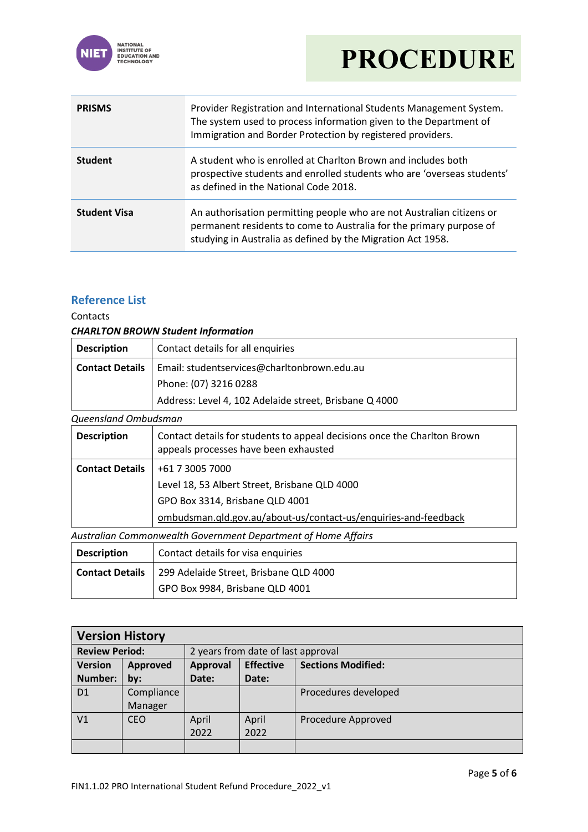

# **PROCEDURE**

| <b>PRISMS</b>       | Provider Registration and International Students Management System.<br>The system used to process information given to the Department of<br>Immigration and Border Protection by registered providers.      |  |  |  |
|---------------------|-------------------------------------------------------------------------------------------------------------------------------------------------------------------------------------------------------------|--|--|--|
| <b>Student</b>      | A student who is enrolled at Charlton Brown and includes both<br>prospective students and enrolled students who are 'overseas students'<br>as defined in the National Code 2018.                            |  |  |  |
| <b>Student Visa</b> | An authorisation permitting people who are not Australian citizens or<br>permanent residents to come to Australia for the primary purpose of<br>studying in Australia as defined by the Migration Act 1958. |  |  |  |

## **Reference List**

Contacts

### *CHARLTON BROWN Student Information*

| <b>Description</b>     | Contact details for all enquiries                      |  |  |  |
|------------------------|--------------------------------------------------------|--|--|--|
| <b>Contact Details</b> | Email: studentservices@charltonbrown.edu.au            |  |  |  |
|                        | Phone: (07) 3216 0288                                  |  |  |  |
|                        | Address: Level 4, 102 Adelaide street, Brisbane Q 4000 |  |  |  |

*Queensland Ombudsman*

| aucchonana Ombadoman                                          |                                                                                                                   |  |  |  |  |  |
|---------------------------------------------------------------|-------------------------------------------------------------------------------------------------------------------|--|--|--|--|--|
| <b>Description</b>                                            | Contact details for students to appeal decisions once the Charlton Brown<br>appeals processes have been exhausted |  |  |  |  |  |
| <b>Contact Details</b>                                        | +61 7 3005 7000                                                                                                   |  |  |  |  |  |
|                                                               | Level 18, 53 Albert Street, Brisbane QLD 4000                                                                     |  |  |  |  |  |
|                                                               | GPO Box 3314, Brisbane QLD 4001                                                                                   |  |  |  |  |  |
|                                                               | ombudsman.qld.gov.au/about-us/contact-us/enquiries-and-feedback                                                   |  |  |  |  |  |
| Australian Commonwealth Government Department of Home Affairs |                                                                                                                   |  |  |  |  |  |
| <b>Description</b>                                            | Contact details for visa enquiries                                                                                |  |  |  |  |  |

| <b>Contact Details</b>   299 Adelaide Street, Brisbane QLD 4000 |
|-----------------------------------------------------------------|
| GPO Box 9984, Brisbane QLD 4001                                 |

| <b>Version History</b> |                 |          |                                    |                           |
|------------------------|-----------------|----------|------------------------------------|---------------------------|
| <b>Review Period:</b>  |                 |          | 2 years from date of last approval |                           |
| <b>Version</b>         | <b>Approved</b> | Approval | <b>Effective</b>                   | <b>Sections Modified:</b> |
| Number:                | by:             | Date:    | Date:                              |                           |
| D <sub>1</sub>         | Compliance      |          |                                    | Procedures developed      |
|                        | Manager         |          |                                    |                           |
| V <sub>1</sub>         | <b>CEO</b>      | April    | April                              | Procedure Approved        |
|                        |                 | 2022     | 2022                               |                           |
|                        |                 |          |                                    |                           |